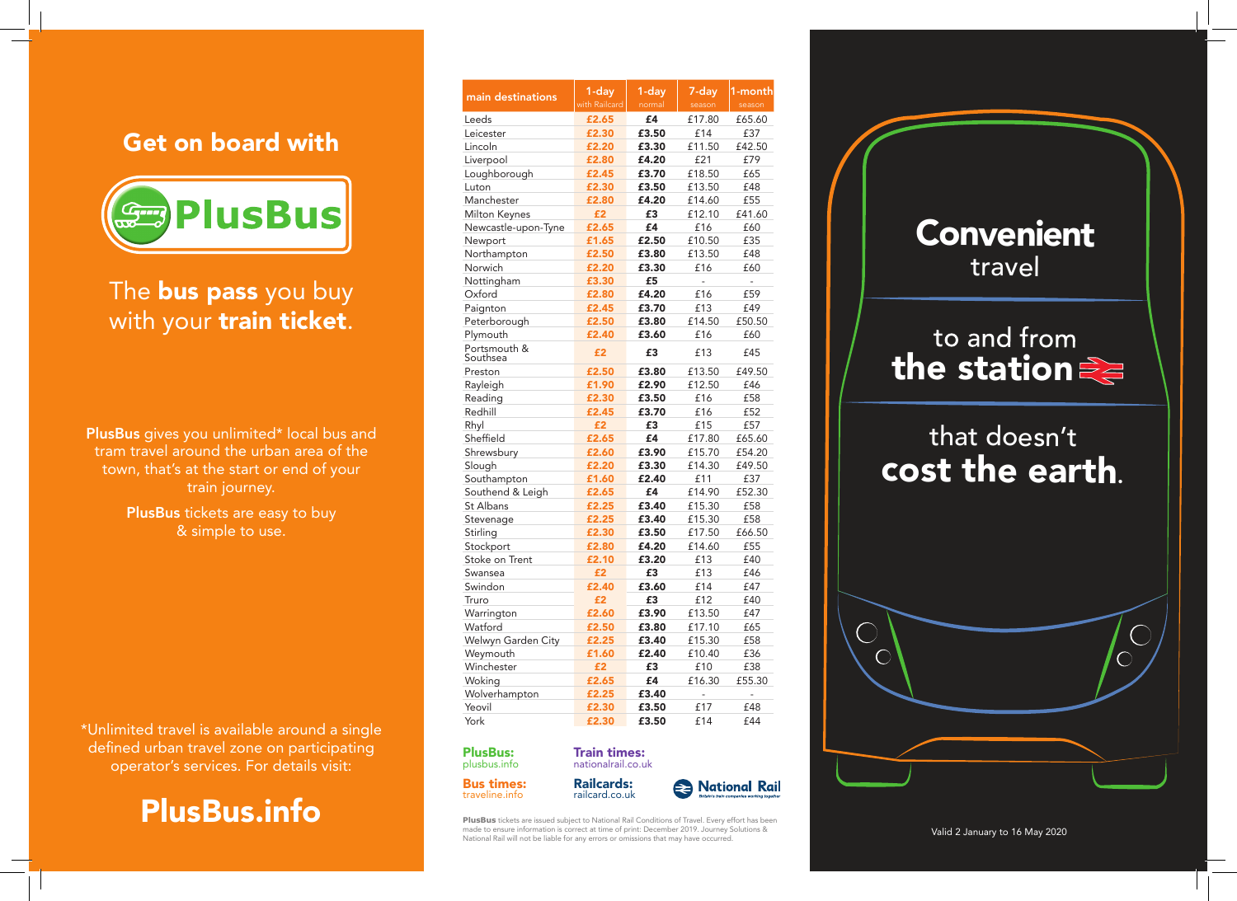#### Get on board with



The **bus pass** you buy with your train ticket.

PlusBus gives you unlimited\* local bus and tram travel around the urban area of the town, that's at the start or end of your train journey.

> PlusBus tickets are easy to buy & simple to use.

\*Unlimited travel is available around a single defined urban travel zone on participating operator's services. For details visit:



| main destinations        | 1-day<br>with Railcard | $1$ -day<br>normal | 7-day<br>season | 1-month<br>season |
|--------------------------|------------------------|--------------------|-----------------|-------------------|
| Leeds                    | £2.65                  | £4                 | £17.80          | £65.60            |
| Leicester                | £2.30                  | £3.50              | £14             | £37               |
| Lincoln                  | £2.20                  | £3.30              | £11.50          | £42.50            |
| Liverpool                | £2.80                  | £4.20              | £21             | £79               |
| Loughborough             | £2.45                  | £3.70              | £18.50          | £65               |
| Luton                    | £2.30                  | £3.50              | £13.50          | £48               |
| Manchester               | £2.80                  | £4.20              | £14.60          | £55               |
| <b>Milton Keynes</b>     | £2                     | £3                 | £12.10          | £41.60            |
| Newcastle-upon-Tyne      | £2.65                  | £4                 | £16             | £60               |
| Newport                  | £1.65                  | £2.50              | £10.50          | £35               |
| Northampton              | £2.50                  | £3.80              | £13.50          | £48               |
| Norwich                  | £2.20                  | £3.30              | £16             | £60               |
| Nottingham               | £3.30                  | £5                 | $\overline{a}$  | $\overline{a}$    |
| Oxford                   | £2.80                  | £4.20              | £16             | £59               |
| Paignton                 | £2.45                  | £3.70              | £13             | £49               |
| Peterborough             | £2.50                  | £3.80              | £14.50          | £50.50            |
| Plymouth                 | £2.40                  | £3.60              | £16             | £60               |
| Portsmouth &<br>Southsea | £2                     | £3                 | £13             | £45               |
| Preston                  | £2.50                  | £3.80              | £13.50          | £49.50            |
| Rayleigh                 | £1.90                  | £2.90              | £12.50          | £46               |
| Reading                  | £2.30                  | £3.50              | £16             | £58               |
| Redhill                  | £2.45                  | £3.70              | £16             | £52               |
| Rhyl                     | £2                     | £3                 | £15             | £57               |
| Sheffield                | £2.65                  | £4                 | £17.80          | £65.60            |
| Shrewsbury               | £2.60                  | £3.90              | £15.70          | £54.20            |
| Slough                   | £2.20                  | £3.30              | £14.30          | £49.50            |
| Southampton              | £1.60                  | £2.40              | £11             | £37               |
| Southend & Leigh         | £2.65                  | £4                 | £14.90          | £52.30            |
| St Albans                | £2.25                  | £3.40              | £15.30          | £58               |
| Stevenage                | £2.25                  | £3.40              | £15.30          | £58               |
| Stirling                 | £2.30                  | £3.50              | £17.50          | £66.50            |
| Stockport                | £2.80                  | £4.20              | £14.60          | £55               |
| Stoke on Trent           | £2.10                  | £3.20              | £13             | £40               |
| Swansea                  | £2                     | £3                 | £13             | £46               |
| Swindon                  | £2.40                  | £3.60              | £14             | £47               |
| Truro                    | £2                     | £3                 | £12             | £40               |
| Warrington               | £2.60                  | £3.90              | £13.50          | £47               |
| Watford                  | £2.50                  | £3.80              | £17.10          | £65               |
| Welwyn Garden City       | £2.25                  | £3.40              | £15.30          | £58               |
| Weymouth                 | £1.60                  | £2.40              | £10.40          | £36               |
| Winchester               | £2                     | £3                 | £10             | £38               |
| Woking                   | £2.65                  | £4                 | £16.30          | £55.30            |
| Wolverhampton            | £2.25                  | £3.40              | $\overline{a}$  | $\overline{a}$    |
| Yeovil                   | £2.30                  | £3.50              | £17             | £48               |
| York                     | £2.30                  | £3.50              | £14             | £44               |

#### PlusBus: plusbus.info

Bus times: traveline.info



**PlusBus** tickets are issued subject to National Rail Conditions of Travel. Every effort has been made to ensure information is correct at time of print: December 2019. Journey Solutions & National Rail will not be liable for any errors or omissions that may have occurred.

Train times: nationalrail.co.uk



Valid 2 January to 16 May 2020